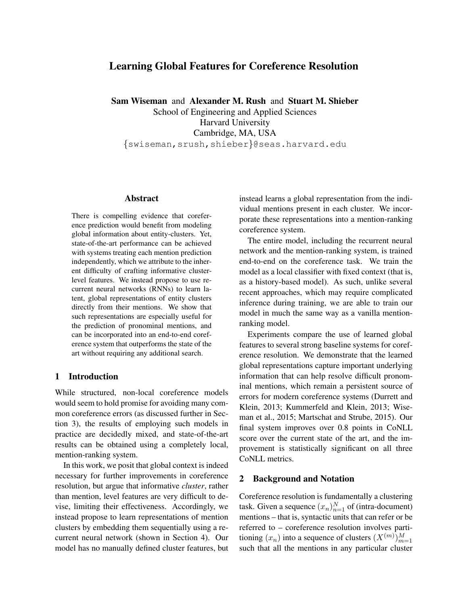# Learning Global Features for Coreference Resolution

Sam Wiseman and Alexander M. Rush and Stuart M. Shieber

School of Engineering and Applied Sciences Harvard University Cambridge, MA, USA {swiseman,srush,shieber}@seas.harvard.edu

# Abstract

There is compelling evidence that coreference prediction would benefit from modeling global information about entity-clusters. Yet, state-of-the-art performance can be achieved with systems treating each mention prediction independently, which we attribute to the inherent difficulty of crafting informative clusterlevel features. We instead propose to use recurrent neural networks (RNNs) to learn latent, global representations of entity clusters directly from their mentions. We show that such representations are especially useful for the prediction of pronominal mentions, and can be incorporated into an end-to-end coreference system that outperforms the state of the art without requiring any additional search.

# 1 Introduction

While structured, non-local coreference models would seem to hold promise for avoiding many common coreference errors (as discussed further in Section 3), the results of employing such models in practice are decidedly mixed, and state-of-the-art results can be obtained using a completely local, mention-ranking system.

In this work, we posit that global context is indeed necessary for further improvements in coreference resolution, but argue that informative *cluster*, rather than mention, level features are very difficult to devise, limiting their effectiveness. Accordingly, we instead propose to learn representations of mention clusters by embedding them sequentially using a recurrent neural network (shown in Section 4). Our model has no manually defined cluster features, but

instead learns a global representation from the individual mentions present in each cluster. We incorporate these representations into a mention-ranking coreference system.

The entire model, including the recurrent neural network and the mention-ranking system, is trained end-to-end on the coreference task. We train the model as a local classifier with fixed context (that is, as a history-based model). As such, unlike several recent approaches, which may require complicated inference during training, we are able to train our model in much the same way as a vanilla mentionranking model.

Experiments compare the use of learned global features to several strong baseline systems for coreference resolution. We demonstrate that the learned global representations capture important underlying information that can help resolve difficult pronominal mentions, which remain a persistent source of errors for modern coreference systems (Durrett and Klein, 2013; Kummerfeld and Klein, 2013; Wiseman et al., 2015; Martschat and Strube, 2015). Our final system improves over 0.8 points in CoNLL score over the current state of the art, and the improvement is statistically significant on all three CoNLL metrics.

#### 2 Background and Notation

Coreference resolution is fundamentally a clustering task. Given a sequence  $(x_n)_{n=1}^N$  of (intra-document) mentions – that is, syntactic units that can refer or be referred to – coreference resolution involves partitioning  $(x_n)$  into a sequence of clusters  $(X^{(m)})_{m=1}^M$ such that all the mentions in any particular cluster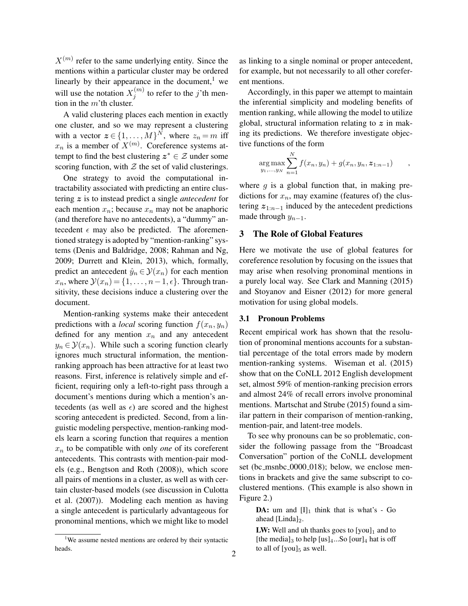$X^{(m)}$  refer to the same underlying entity. Since the mentions within a particular cluster may be ordered linearly by their appearance in the document, $<sup>1</sup>$  we</sup> will use the notation  $X_i^{(m)}$  $j^{(m)}$  to refer to the j'th mention in the  $m$ 'th cluster.

A valid clustering places each mention in exactly one cluster, and so we may represent a clustering with a vector  $z \in \{1, ..., M\}^N$ , where  $z_n = m$  iff  $x_n$  is a member of  $X^{(m)}$ . Coreference systems attempt to find the best clustering  $z^* \in \mathcal{Z}$  under some scoring function, with  $Z$  the set of valid clusterings.

One strategy to avoid the computational intractability associated with predicting an entire clustering z is to instead predict a single *antecedent* for each mention  $x_n$ ; because  $x_n$  may not be anaphoric (and therefore have no antecedents), a "dummy" antecedent  $\epsilon$  may also be predicted. The aforementioned strategy is adopted by "mention-ranking" systems (Denis and Baldridge, 2008; Rahman and Ng, 2009; Durrett and Klein, 2013), which, formally, predict an antecedent  $\hat{y}_n \in \mathcal{Y}(x_n)$  for each mention  $x_n$ , where  $\mathcal{Y}(x_n) = \{1, \ldots, n-1, \epsilon\}$ . Through transitivity, these decisions induce a clustering over the document.

Mention-ranking systems make their antecedent predictions with a *local* scoring function  $f(x_n, y_n)$ defined for any mention  $x_n$  and any antecedent  $y_n \in \mathcal{Y}(x_n)$ . While such a scoring function clearly ignores much structural information, the mentionranking approach has been attractive for at least two reasons. First, inference is relatively simple and efficient, requiring only a left-to-right pass through a document's mentions during which a mention's antecedents (as well as  $\epsilon$ ) are scored and the highest scoring antecedent is predicted. Second, from a linguistic modeling perspective, mention-ranking models learn a scoring function that requires a mention  $x_n$  to be compatible with only *one* of its coreferent antecedents. This contrasts with mention-pair models (e.g., Bengtson and Roth (2008)), which score all pairs of mentions in a cluster, as well as with certain cluster-based models (see discussion in Culotta et al. (2007)). Modeling each mention as having a single antecedent is particularly advantageous for pronominal mentions, which we might like to model as linking to a single nominal or proper antecedent, for example, but not necessarily to all other coreferent mentions.

Accordingly, in this paper we attempt to maintain the inferential simplicity and modeling benefits of mention ranking, while allowing the model to utilize global, structural information relating to  $z$  in making its predictions. We therefore investigate objective functions of the form

$$
\arg \max_{y_1,...,y_N} \sum_{n=1}^N f(x_n, y_n) + g(x_n, y_n, z_{1:n-1}) ,
$$

where  $g$  is a global function that, in making predictions for  $x_n$ , may examine (features of) the clustering  $z_{1:n-1}$  induced by the antecedent predictions made through  $y_{n-1}$ .

#### 3 The Role of Global Features

Here we motivate the use of global features for coreference resolution by focusing on the issues that may arise when resolving pronominal mentions in a purely local way. See Clark and Manning (2015) and Stoyanov and Eisner (2012) for more general motivation for using global models.

## 3.1 Pronoun Problems

Recent empirical work has shown that the resolution of pronominal mentions accounts for a substantial percentage of the total errors made by modern mention-ranking systems. Wiseman et al. (2015) show that on the CoNLL 2012 English development set, almost 59% of mention-ranking precision errors and almost 24% of recall errors involve pronominal mentions. Martschat and Strube (2015) found a similar pattern in their comparison of mention-ranking, mention-pair, and latent-tree models.

To see why pronouns can be so problematic, consider the following passage from the "Broadcast Conversation" portion of the CoNLL development set (bc\_msnbc\_0000\_018); below, we enclose mentions in brackets and give the same subscript to coclustered mentions. (This example is also shown in Figure 2.)

**DA:** um and  $[I]_1$  think that is what's - Go ahead  $[Linda]_2$ .

**LW:** Well and uh thanks goes to  $[you]_1$  and to [the media]<sub>3</sub> to help  $[us]_4...$ So  $[our]_4$  hat is off to all of  $[you]_5$  as well.

<sup>&</sup>lt;sup>1</sup>We assume nested mentions are ordered by their syntactic heads.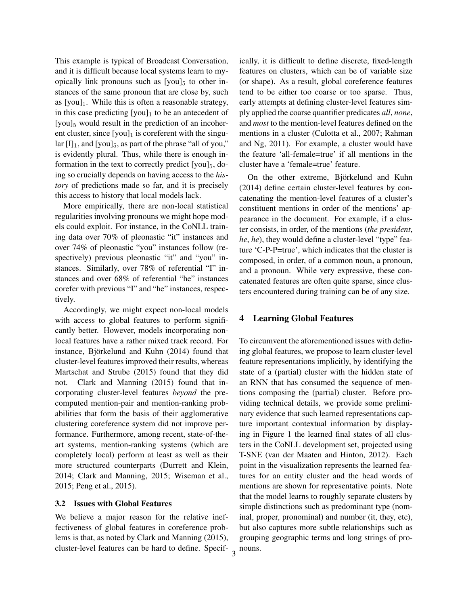This example is typical of Broadcast Conversation, and it is difficult because local systems learn to myopically link pronouns such as  $[you]_5$  to other instances of the same pronoun that are close by, such as  $[you]_1$ . While this is often a reasonable strategy, in this case predicting  $[you]_1$  to be an antecedent of [you]<sub>5</sub> would result in the prediction of an incoherent cluster, since  $[you]_1$  is coreferent with the singular  $[I]_1$ , and  $[you]_5$ , as part of the phrase "all of you," is evidently plural. Thus, while there is enough information in the text to correctly predict  $[you]_5$ , doing so crucially depends on having access to the *history* of predictions made so far, and it is precisely this access to history that local models lack.

More empirically, there are non-local statistical regularities involving pronouns we might hope models could exploit. For instance, in the CoNLL training data over 70% of pleonastic "it" instances and over 74% of pleonastic "you" instances follow (respectively) previous pleonastic "it" and "you" instances. Similarly, over 78% of referential "I" instances and over 68% of referential "he" instances corefer with previous "I" and "he" instances, respectively.

Accordingly, we might expect non-local models with access to global features to perform significantly better. However, models incorporating nonlocal features have a rather mixed track record. For instance, Björkelund and Kuhn (2014) found that cluster-level features improved their results, whereas Martschat and Strube (2015) found that they did not. Clark and Manning (2015) found that incorporating cluster-level features *beyond* the precomputed mention-pair and mention-ranking probabilities that form the basis of their agglomerative clustering coreference system did not improve performance. Furthermore, among recent, state-of-theart systems, mention-ranking systems (which are completely local) perform at least as well as their more structured counterparts (Durrett and Klein, 2014; Clark and Manning, 2015; Wiseman et al., 2015; Peng et al., 2015).

#### 3.2 Issues with Global Features

We believe a major reason for the relative ineffectiveness of global features in coreference problems is that, as noted by Clark and Manning (2015), cluster-level features can be hard to define. Specif-

3

ically, it is difficult to define discrete, fixed-length features on clusters, which can be of variable size (or shape). As a result, global coreference features tend to be either too coarse or too sparse. Thus, early attempts at defining cluster-level features simply applied the coarse quantifier predicates *all*, *none*, and *most* to the mention-level features defined on the mentions in a cluster (Culotta et al., 2007; Rahman and Ng, 2011). For example, a cluster would have the feature 'all-female=true' if all mentions in the cluster have a 'female=true' feature.

On the other extreme, Björkelund and Kuhn (2014) define certain cluster-level features by concatenating the mention-level features of a cluster's constituent mentions in order of the mentions' appearance in the document. For example, if a cluster consists, in order, of the mentions (*the president*, *he*, *he*), they would define a cluster-level "type" feature 'C-P-P=true', which indicates that the cluster is composed, in order, of a common noun, a pronoun, and a pronoun. While very expressive, these concatenated features are often quite sparse, since clusters encountered during training can be of any size.

#### 4 Learning Global Features

To circumvent the aforementioned issues with defining global features, we propose to learn cluster-level feature representations implicitly, by identifying the state of a (partial) cluster with the hidden state of an RNN that has consumed the sequence of mentions composing the (partial) cluster. Before providing technical details, we provide some preliminary evidence that such learned representations capture important contextual information by displaying in Figure 1 the learned final states of all clusters in the CoNLL development set, projected using T-SNE (van der Maaten and Hinton, 2012). Each point in the visualization represents the learned features for an entity cluster and the head words of mentions are shown for representative points. Note that the model learns to roughly separate clusters by simple distinctions such as predominant type (nominal, proper, pronominal) and number (it, they, etc), but also captures more subtle relationships such as grouping geographic terms and long strings of pronouns.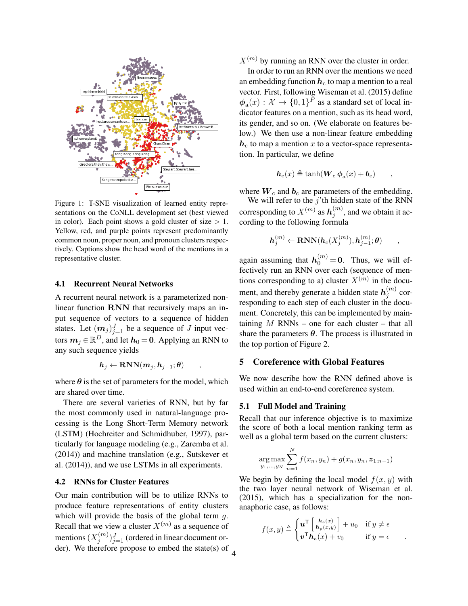

Figure 1: T-SNE visualization of learned entity representations on the CoNLL development set (best viewed in color). Each point shows a gold cluster of size  $> 1$ . Yellow, red, and purple points represent predominantly common noun, proper noun, and pronoun clusters respectively. Captions show the head word of the mentions in a representative cluster.

#### 4.1 Recurrent Neural Networks

A recurrent neural network is a parameterized nonlinear function RNN that recursively maps an input sequence of vectors to a sequence of hidden states. Let  $(m_j)_{j=1}^J$  be a sequence of J input vectors  $m_j \in \mathbb{R}^D$ , and let  $h_0 = 0$ . Applying an RNN to any such sequence yields

$$
\boldsymbol{h}_j \leftarrow \text{RNN}(\boldsymbol{m}_j,\boldsymbol{h}_{j-1};\boldsymbol{\theta}) \qquad ,
$$

where  $\theta$  is the set of parameters for the model, which are shared over time.

There are several varieties of RNN, but by far the most commonly used in natural-language processing is the Long Short-Term Memory network (LSTM) (Hochreiter and Schmidhuber, 1997), particularly for language modeling (e.g., Zaremba et al. (2014)) and machine translation (e.g., Sutskever et al. (2014)), and we use LSTMs in all experiments.

## 4.2 RNNs for Cluster Features

Our main contribution will be to utilize RNNs to produce feature representations of entity clusters which will provide the basis of the global term  $q$ . Recall that we view a cluster  $X^{(m)}$  as a sequence of mentions  $(X_i^{(m)}$  ${j^{(m)} \choose j}_{j=1}^J$  (ordered in linear document order). We therefore propose to embed the state(s) of  $X^{(m)}$  by running an RNN over the cluster in order.

In order to run an RNN over the mentions we need an embedding function  $h_c$  to map a mention to a real vector. First, following Wiseman et al. (2015) define  $\phi_{\rm a}(x): \mathcal{X} \to \{0,1\}^F$  as a standard set of local indicator features on a mention, such as its head word, its gender, and so on. (We elaborate on features below.) We then use a non-linear feature embedding  $h_c$  to map a mention x to a vector-space representation. In particular, we define

$$
\mathbf{h}_{\rm c}(x) \triangleq \tanh(\mathbf{W}_{\rm c} \,\boldsymbol{\phi}_{\rm a}(x) + \mathbf{b}_{\rm c}) \qquad ,
$$

where  $W_c$  and  $b_c$  are parameters of the embedding.

We will refer to the  $j$ 'th hidden state of the RNN corresponding to  $X^{(m)}$  as  $h_j^{(m)}$  $j^{(m)}$ , and we obtain it according to the following formula

$$
\boldsymbol{h}^{(m)}_j \leftarrow \textbf{RNN}(\boldsymbol{h}_\mathrm{c}(X^{(m)}_j),\boldsymbol{h}^{(m)}_{j-1};\boldsymbol{\theta}) \qquad ,
$$

again assuming that  $h_0^{(m)} = 0$ . Thus, we will effectively run an RNN over each (sequence of mentions corresponding to a) cluster  $X^{(m)}$  in the document, and thereby generate a hidden state  $\boldsymbol{h}^{(m)}_i$  $j^{(m)}$  corresponding to each step of each cluster in the document. Concretely, this can be implemented by maintaining  $M$  RNNs – one for each cluster – that all share the parameters  $\theta$ . The process is illustrated in the top portion of Figure 2.

# 5 Coreference with Global Features

We now describe how the RNN defined above is used within an end-to-end coreference system.

# 5.1 Full Model and Training

Recall that our inference objective is to maximize the score of both a local mention ranking term as well as a global term based on the current clusters:

$$
\arg \max_{y_1, \dots, y_N} \sum_{n=1}^N f(x_n, y_n) + g(x_n, y_n, z_{1:n-1})
$$

We begin by defining the local model  $f(x, y)$  with the two layer neural network of Wiseman et al. (2015), which has a specialization for the nonanaphoric case, as follows:

$$
f(x,y) \triangleq \begin{cases} \boldsymbol{u}^{\mathsf{T}} \begin{bmatrix} \boldsymbol{h}_a(x) \\ \boldsymbol{h}_p(x,y) \end{bmatrix} + u_0 & \text{if } y \neq \epsilon \\ \boldsymbol{v}^{\mathsf{T}} \boldsymbol{h}_a(x) + v_0 & \text{if } y = \epsilon \end{cases}.
$$

4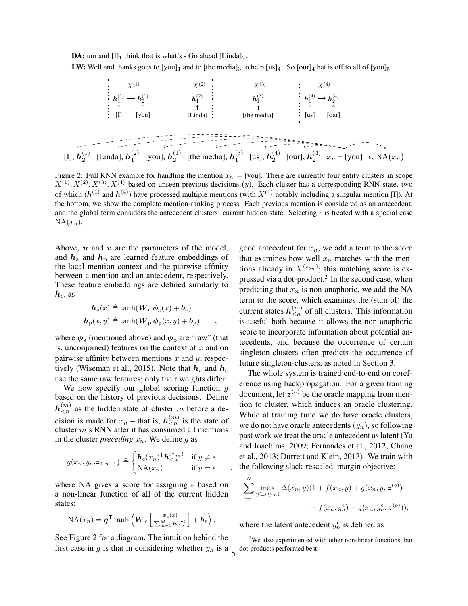**DA:** um and  $[I]_1$  think that is what's - Go ahead  $[Linda]_2$ .

LW: Well and thanks goes to  $[you]_1$  and to [the media]<sub>3</sub> to help  $[us]_4...$ So  $[our]_4$  hat is off to all of  $[you]_5...$ 



Figure 2: Full RNN example for handling the mention  $x_n =$  [you]. There are currently four entity clusters in scope  $X^{(1)}, X^{(2)}, X^{(3)}, X^{(4)}$  based on unseen previous decisions (y). Each cluster has a corresponding RNN state, two of which  $(h^{(1)}$  and  $h^{(4)}$ ) have processed multiple mentions (with  $X^{(1)}$  notably including a singular mention [I]). At the bottom, we show the complete mention-ranking process. Each previous mention is considered as an antecedent, and the global term considers the antecedent clusters' current hidden state. Selecting  $\epsilon$  is treated with a special case  $NA(x_n)$ .

Above,  $u$  and  $v$  are the parameters of the model, and  $h_a$  and  $h_p$  are learned feature embeddings of the local mention context and the pairwise affinity between a mention and an antecedent, respectively. These feature embeddings are defined similarly to  $h_{c}$ , as

$$
\mathbf{h}_{a}(x) \triangleq \tanh(\mathbf{W}_{a} \boldsymbol{\phi}_{a}(x) + \mathbf{b}_{a})
$$

$$
\mathbf{h}_{p}(x, y) \triangleq \tanh(\mathbf{W}_{p} \boldsymbol{\phi}_{p}(x, y) + \mathbf{b}_{p}) \qquad ,
$$

where  $\phi$ <sub>a</sub> (mentioned above) and  $\phi$ <sub>p</sub> are "raw" (that is, unconjoined) features on the context of  $x$  and on pairwise affinity between mentions  $x$  and  $y$ , respectively (Wiseman et al., 2015). Note that  $h_a$  and  $h_c$ use the same raw features; only their weights differ.

We now specify our global scoring function  $g$ based on the history of previous decisions. Define  $h_{\leq n}^{(m)}$  as the hidden state of cluster m before a decision is made for  $x_n$  – that is,  $h_{\leq n}^{(m)}$  is the state of cluster m's RNN after it has consumed all mentions in the cluster *preceding*  $x_n$ . We define g as

$$
g(x_n, y_n, z_{1:n-1}) \triangleq \begin{cases} \boldsymbol{h}_c(x_n)^\mathsf{T} \boldsymbol{h}_{\leq n}^{(z_{y_n})} & \text{if } y \neq \epsilon \\ NA(x_n) & \text{if } y = \epsilon \end{cases}
$$

where NA gives a score for assigning  $\epsilon$  based on a non-linear function of all of the current hidden states:

$$
\operatorname{NA}(x_n) = \boldsymbol{q}^{\mathsf{T}} \tanh \left( \boldsymbol{W}_s \left[ \frac{\boldsymbol{\phi}_a(x)}{\sum_{m=1}^M \boldsymbol{h}_{\leq n}^{(m)}} \right] + \boldsymbol{b}_s \right).
$$

See Figure 2 for a diagram. The intuition behind the first case in g is that in considering whether  $y_n$  is a  $\zeta$ 

good antecedent for  $x_n$ , we add a term to the score that examines how well  $x_n$  matches with the mentions already in  $X^{(z_{yn})}$ ; this matching score is expressed via a dot-product.<sup>2</sup> In the second case, when predicting that  $x_n$  is non-anaphoric, we add the NA term to the score, which examines the (sum of) the current states  $h_{\leq n}^{(m)}$  of all clusters. This information is useful both because it allows the non-anaphoric score to incorporate information about potential antecedents, and because the occurrence of certain singleton-clusters often predicts the occurrence of future singleton-clusters, as noted in Section 3.

The whole system is trained end-to-end on coreference using backpropagation. For a given training document, let  $z^{(o)}$  be the oracle mapping from mention to cluster, which induces an oracle clustering. While at training time we do have oracle clusters, we do not have oracle antecedents  $(y_n)$ , so following past work we treat the oracle antecedent as latent (Yu and Joachims, 2009; Fernandes et al., 2012; Chang et al., 2013; Durrett and Klein, 2013). We train with the following slack-rescaled, margin objective:

$$
\sum_{n=1}^{N} \max_{y \in \mathcal{Y}(x_n)} \Delta(x_n, y)(1 + f(x_n, y) + g(x_n, y, z^{(o)})) - f(x_n, y_n^{\ell}) - g(x_n, y_n^{\ell}, z^{(o)})),
$$

where the latent antecedent  $y_n^{\ell}$  is defined as

 $2$ We also experimented with other non-linear functions, but dot-products performed best.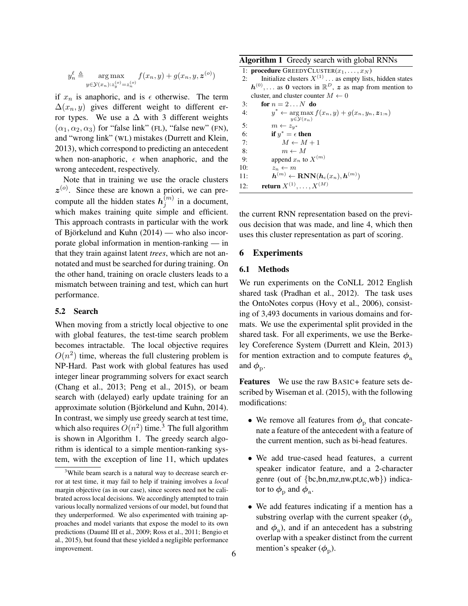$$
y_n^{\ell} \triangleq \mathop{\arg\max}_{y \in \mathcal{Y}(x_n): z_y^{(o)} = z_n^{(o)}} f(x_n, y) + g(x_n, y, \boldsymbol{z}^{(o)})
$$

if  $x_n$  is anaphoric, and is  $\epsilon$  otherwise. The term  $\Delta(x_n, y)$  gives different weight to different error types. We use a  $\Delta$  with 3 different weights  $(\alpha_1, \alpha_2, \alpha_3)$  for "false link" (FL), "false new" (FN), and "wrong link" (WL) mistakes (Durrett and Klein, 2013), which correspond to predicting an antecedent when non-anaphoric,  $\epsilon$  when anaphoric, and the wrong antecedent, respectively.

Note that in training we use the oracle clusters  $z^{(0)}$ . Since these are known a priori, we can precompute all the hidden states  $h_i^{(m)}$  $j^{(m)}$  in a document, which makes training quite simple and efficient. This approach contrasts in particular with the work of Björkelund and Kuhn  $(2014)$  — who also incorporate global information in mention-ranking — in that they train against latent *trees*, which are not annotated and must be searched for during training. On the other hand, training on oracle clusters leads to a mismatch between training and test, which can hurt performance.

## 5.2 Search

When moving from a strictly local objective to one with global features, the test-time search problem becomes intractable. The local objective requires  $O(n^2)$  time, whereas the full clustering problem is NP-Hard. Past work with global features has used integer linear programming solvers for exact search (Chang et al., 2013; Peng et al., 2015), or beam search with (delayed) early update training for an approximate solution (Björkelund and Kuhn, 2014). In contrast, we simply use greedy search at test time, which also requires  $O(n^2)$  time.<sup>3</sup> The full algorithm is shown in Algorithm 1. The greedy search algorithm is identical to a simple mention-ranking system, with the exception of line 11, which updates

#### Algorithm 1 Greedy search with global RNNs

|     | 1: <b>procedure</b> GREEDYCLUSTER $(x_1, \ldots, x_N)$                                               |
|-----|------------------------------------------------------------------------------------------------------|
| 2:  | Initialize clusters $X^{(1)}$ as empty lists, hidden states                                          |
|     | $h^{(0)}, \ldots$ as 0 vectors in $\mathbb{R}^D$ , z as map from mention to                          |
|     | cluster, and cluster counter $M \leftarrow 0$                                                        |
| 3:  | for $n = 2N$ do                                                                                      |
| 4:  | $y^* \leftarrow \arg \max f(x_n, y) + g(x_n, y_n, z_{1:n})$                                          |
|     | $y \in \mathcal{Y}(x_n)$                                                                             |
| 5:  | $m \leftarrow z_{u^*}$                                                                               |
| 6:  | if $y^* = \epsilon$ then                                                                             |
| 7:  | $M \leftarrow M + 1$                                                                                 |
| 8:  | $m \leftarrow M$                                                                                     |
| 9:  | append $x_n$ to $X^{(m)}$                                                                            |
| 10: | $z_n \leftarrow m$                                                                                   |
| 11: | $\boldsymbol{h}^{(m)} \leftarrow \textbf{RNN}(\boldsymbol{h}_{\text{c}}(x_n), \boldsymbol{h}^{(m)})$ |
| 12: | <b>return</b> $X^{(1)}, \ldots, X^{(M)}$                                                             |
|     |                                                                                                      |

the current RNN representation based on the previous decision that was made, and line 4, which then uses this cluster representation as part of scoring.

#### 6 Experiments

# 6.1 Methods

We run experiments on the CoNLL 2012 English shared task (Pradhan et al., 2012). The task uses the OntoNotes corpus (Hovy et al., 2006), consisting of 3,493 documents in various domains and formats. We use the experimental split provided in the shared task. For all experiments, we use the Berkeley Coreference System (Durrett and Klein, 2013) for mention extraction and to compute features  $\phi_a$ and  $\phi_{\rm p}$ .

Features We use the raw BASIC+ feature sets described by Wiseman et al. (2015), with the following modifications:

- We remove all features from  $\phi_{\rm p}$  that concatenate a feature of the antecedent with a feature of the current mention, such as bi-head features.
- We add true-cased head features, a current speaker indicator feature, and a 2-character genre (out of {bc,bn,mz,nw,pt,tc,wb}) indicator to  $\phi_{\rm p}$  and  $\phi_{\rm a}$ .
- We add features indicating if a mention has a substring overlap with the current speaker ( $\phi_p$ and  $\phi$ <sub>a</sub>), and if an antecedent has a substring overlap with a speaker distinct from the current mention's speaker  $(\phi_p)$ .

<sup>&</sup>lt;sup>3</sup>While beam search is a natural way to decrease search error at test time, it may fail to help if training involves a *local* margin objective (as in our case), since scores need not be calibrated across local decisions. We accordingly attempted to train various locally normalized versions of our model, but found that they underperformed. We also experimented with training approaches and model variants that expose the model to its own predictions (Daumé III et al., 2009; Ross et al., 2011; Bengio et al., 2015), but found that these yielded a negligible performance improvement.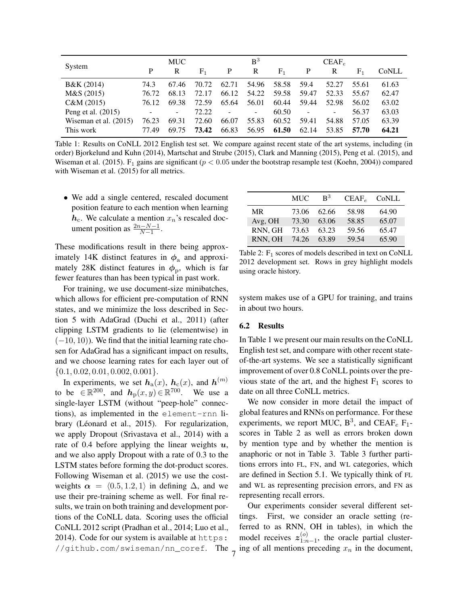|                         |       | <b>MUC</b>               |                |                | B <sup>3</sup>           |                |                          | $CEAF_e$       |             |       |
|-------------------------|-------|--------------------------|----------------|----------------|--------------------------|----------------|--------------------------|----------------|-------------|-------|
| System                  | P     | R                        | F <sub>1</sub> | P              | R                        | F <sub>1</sub> | P                        | R              | ${\rm F}_1$ | CoNLL |
| B&K (2014)              | 74.3  | 67.46                    | 70.72          | 62.71          | 54.96                    | 58.58          | 59.4                     | 52.27          | 55.61       | 61.63 |
| M&S(2015)               | 76.72 | 68.13                    | 72.17          | 66.12          | 54.22                    | 59.58          | 59.47                    | 52.33          | 55.67       | 62.47 |
| C&M(2015)               | 76.12 | 69.38                    | 72.59          | 65.64          | 56.01                    | 60.44          | 59.44                    | 52.98          | 56.02       | 63.02 |
| Peng et al. (2015)      |       | $\overline{\phantom{0}}$ | 72.22          | $\blacksquare$ | $\overline{\phantom{a}}$ | 60.50          | $\overline{\phantom{a}}$ | $\blacksquare$ | 56.37       | 63.03 |
| Wiseman et al. $(2015)$ | 76.23 | 69.31                    | 72.60          | 66.07          | 55.83                    | 60.52          | 59.41                    | 54.88          | 57.05       | 63.39 |
| This work               | 77.49 | 69.75                    | 73.42          | 66.83          | 56.95                    | 61.50          | 62.14                    | 53.85          | 57.70       | 64.21 |

Table 1: Results on CoNLL 2012 English test set. We compare against recent state of the art systems, including (in order) Bjorkelund and Kuhn (2014), Martschat and Strube (2015), Clark and Manning (2015), Peng et al. (2015), and Wiseman et al. (2015). F<sub>1</sub> gains are significant ( $p < 0.05$  under the bootstrap resample test (Koehn, 2004)) compared with Wiseman et al. (2015) for all metrics.

• We add a single centered, rescaled document position feature to each mention when learning  $h_c$ . We calculate a mention  $x_n$ 's rescaled document position as  $\frac{2n-N-1}{N-1}$ .

These modifications result in there being approximately 14K distinct features in  $\phi$ <sub>a</sub> and approximately 28K distinct features in  $\phi_{\rm p}$ , which is far fewer features than has been typical in past work.

For training, we use document-size minibatches, which allows for efficient pre-computation of RNN states, and we minimize the loss described in Section 5 with AdaGrad (Duchi et al., 2011) (after clipping LSTM gradients to lie (elementwise) in  $(-10, 10)$ ). We find that the initial learning rate chosen for AdaGrad has a significant impact on results, and we choose learning rates for each layer out of  $\{0.1, 0.02, 0.01, 0.002, 0.001\}.$ 

In experiments, we set  $h_a(x)$ ,  $h_c(x)$ , and  $h^{(m)}$ to be  $\in \mathbb{R}^{200}$ , and  $h_{p}(x, y) \in \mathbb{R}^{700}$ . We use a single-layer LSTM (without "peep-hole" connections), as implemented in the element-rnn library (Léonard et al., 2015). For regularization, we apply Dropout (Srivastava et al., 2014) with a rate of 0.4 before applying the linear weights  $u$ , and we also apply Dropout with a rate of 0.3 to the LSTM states before forming the dot-product scores. Following Wiseman et al. (2015) we use the costweights  $\alpha = \langle 0.5, 1.2, 1 \rangle$  in defining  $\Delta$ , and we use their pre-training scheme as well. For final results, we train on both training and development portions of the CoNLL data. Scoring uses the official CoNLL 2012 script (Pradhan et al., 2014; Luo et al., 2014). Code for our system is available at https: //github.com/swiseman/nn\_coref. The

|           | <b>MUC</b> | $R^3$ | $CEAF_e$ | CoNLL |
|-----------|------------|-------|----------|-------|
| <b>MR</b> | 73.06      | 62.66 | 58.98    | 64.90 |
| Avg, OH   | 73.30      | 63.06 | 58.85    | 65.07 |
| RNN, GH   | 73.63      | 63.23 | 59.56    | 65.47 |
| RNN, OH   | 74.26      | 63.89 | 59.54    | 65.90 |

Table 2:  $F_1$  scores of models described in text on CoNLL 2012 development set. Rows in grey highlight models using oracle history.

system makes use of a GPU for training, and trains in about two hours.

#### 6.2 Results

In Table 1 we present our main results on the CoNLL English test set, and compare with other recent stateof-the-art systems. We see a statistically significant improvement of over 0.8 CoNLL points over the previous state of the art, and the highest  $F_1$  scores to date on all three CoNLL metrics.

We now consider in more detail the impact of global features and RNNs on performance. For these experiments, we report MUC,  $B^3$ , and CEAF<sub>e</sub> F<sub>1</sub>scores in Table 2 as well as errors broken down by mention type and by whether the mention is anaphoric or not in Table 3. Table 3 further partitions errors into FL, FN, and WL categories, which are defined in Section 5.1. We typically think of FL and WL as representing precision errors, and FN as representing recall errors.

Our experiments consider several different settings. First, we consider an oracle setting (referred to as RNN, OH in tables), in which the model receives  $z_{1:n}^{(o)}$  $\binom{0}{1:n-1}$ , the oracle partial cluster- $\overline{7}$  ing of all mentions preceding  $x_n$  in the document,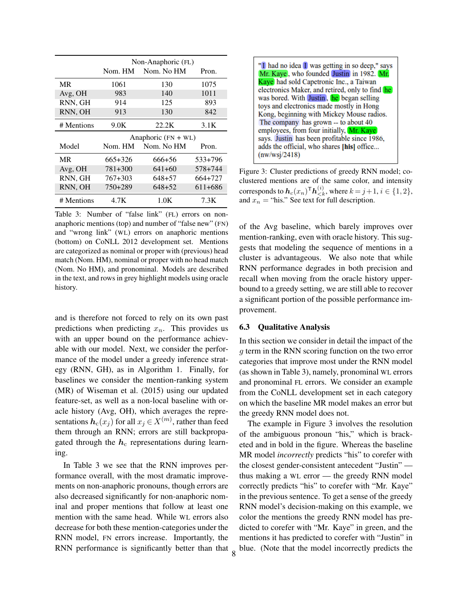|            |         | Non-Anaphoric (FL)    |         |
|------------|---------|-----------------------|---------|
|            | Nom. HM | Nom. No HM            | Pron.   |
| <b>MR</b>  | 1061    | 130                   | 1075    |
| Avg, OH    | 983     | 140                   | 1011    |
| RNN, GH    | 914     | 125                   | 893     |
| RNN, OH    | 913     | 130                   | 842     |
| # Mentions | 9.0K    | 22.2K                 | 3.1K    |
|            |         |                       |         |
|            |         | Anaphoric $(FN + WL)$ |         |
| Model      | Nom. HM | Nom. No HM            | Pron.   |
| <b>MR</b>  | 665+326 | 666+56                | 533+796 |
| Avg, OH    | 781+300 | $641 + 60$            | 578+744 |
| RNN, GH    | 767+303 | 648+57                | 664+727 |
| RNN, OH    | 750+289 | 648+52                | 611+686 |

Table 3: Number of "false link" (FL) errors on nonanaphoric mentions (top) and number of "false new" (FN) and "wrong link" (WL) errors on anaphoric mentions (bottom) on CoNLL 2012 development set. Mentions are categorized as nominal or proper with (previous) head match (Nom. HM), nominal or proper with no head match (Nom. No HM), and pronominal. Models are described in the text, and rows in grey highlight models using oracle history.

and is therefore not forced to rely on its own past predictions when predicting  $x_n$ . This provides us with an upper bound on the performance achievable with our model. Next, we consider the performance of the model under a greedy inference strategy (RNN, GH), as in Algorithm 1. Finally, for baselines we consider the mention-ranking system (MR) of Wiseman et al. (2015) using our updated feature-set, as well as a non-local baseline with oracle history (Avg, OH), which averages the representations  $\boldsymbol{h}_{\text{c}}(x_j)$  for all  $x_j \in X^{(m)}$ , rather than feed them through an RNN; errors are still backpropagated through the  $h_c$  representations during learning.

In Table 3 we see that the RNN improves performance overall, with the most dramatic improvements on non-anaphoric pronouns, though errors are also decreased significantly for non-anaphoric nominal and proper mentions that follow at least one mention with the same head. While WL errors also decrease for both these mention-categories under the RNN model, FN errors increase. Importantly, the RNN performance is significantly better than that



Figure 3: Cluster predictions of greedy RNN model; coclustered mentions are of the same color, and intensity corresponds to  $\bm{h}_c(x_n)^\mathsf{T} \bm{h}_{< k}^{(i)},$  where  $k \! = \! j \! + \! 1, i \in \{1,2\},$ and  $x_n$  = "his." See text for full description.

of the Avg baseline, which barely improves over mention-ranking, even with oracle history. This suggests that modeling the sequence of mentions in a cluster is advantageous. We also note that while RNN performance degrades in both precision and recall when moving from the oracle history upperbound to a greedy setting, we are still able to recover a significant portion of the possible performance improvement.

## 6.3 Qualitative Analysis

8

In this section we consider in detail the impact of the g term in the RNN scoring function on the two error categories that improve most under the RNN model (as shown in Table 3), namely, pronominal WL errors and pronominal FL errors. We consider an example from the CoNLL development set in each category on which the baseline MR model makes an error but the greedy RNN model does not.

The example in Figure 3 involves the resolution of the ambiguous pronoun "his," which is bracketed and in bold in the figure. Whereas the baseline MR model *incorrectly* predicts "his" to corefer with the closest gender-consistent antecedent "Justin" thus making a WL error — the greedy RNN model correctly predicts "his" to corefer with "Mr. Kaye" in the previous sentence. To get a sense of the greedy RNN model's decision-making on this example, we color the mentions the greedy RNN model has predicted to corefer with "Mr. Kaye" in green, and the mentions it has predicted to corefer with "Justin" in blue. (Note that the model incorrectly predicts the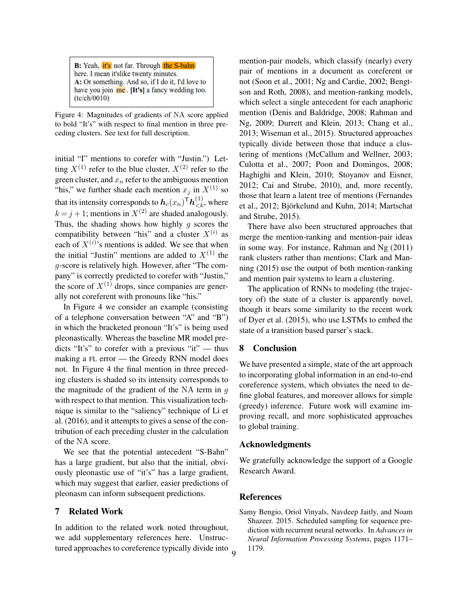B: Yeah, it's not far. Through the S-bahn here. I mean it'slike twenty minutes. A: Or something. And so, if I do it, I'd love to have you join me. [It's] a fancy wedding too.  $(tc/ch/0010)$ 

Figure 4: Magnitudes of gradients of NA score applied to bold "It's" with respect to final mention in three preceding clusters. See text for full description.

initial "I" mentions to corefer with "Justin.") Letting  $X^{(1)}$  refer to the blue cluster,  $X^{(2)}$  refer to the green cluster, and  $x_n$  refer to the ambiguous mention "his," we further shade each mention  $x_j$  in  $X^{(1)}$  so that its intensity corresponds to  $\bm{h}_c(x_n)^\mathsf{T} \bm{h}_{< k}^{(1)},$  where  $k = j + 1$ ; mentions in  $X^{(2)}$  are shaded analogously. Thus, the shading shows how highly q scores the compatibility between "his" and a cluster  $X^{(i)}$  as each of  $X^{(i)}$ 's mentions is added. We see that when the initial "Justin" mentions are added to  $X^{(1)}$  the g-score is relatively high. However, after "The company" is correctly predicted to corefer with "Justin," the score of  $X^{(1)}$  drops, since companies are generally not coreferent with pronouns like "his."

In Figure 4 we consider an example (consisting of a telephone conversation between "A" and "B") in which the bracketed pronoun "It's" is being used pleonastically. Whereas the baseline MR model predicts "It's" to corefer with a previous "it" — thus making a FL error — the Greedy RNN model does not. In Figure 4 the final mention in three preceding clusters is shaded so its intensity corresponds to the magnitude of the gradient of the NA term in  $q$ with respect to that mention. This visualization technique is similar to the "saliency" technique of Li et al. (2016), and it attempts to gives a sense of the contribution of each preceding cluster in the calculation of the NA score.

We see that the potential antecedent "S-Bahn" has a large gradient, but also that the initial, obviously pleonastic use of "it's" has a large gradient, which may suggest that earlier, easier predictions of pleonasm can inform subsequent predictions.

#### 7 Related Work

In addition to the related work noted throughout, we add supplementary references here. Unstructured approaches to coreference typically divide into 9

mention-pair models, which classify (nearly) every pair of mentions in a document as coreferent or not (Soon et al., 2001; Ng and Cardie, 2002; Bengtson and Roth, 2008), and mention-ranking models, which select a single antecedent for each anaphoric mention (Denis and Baldridge, 2008; Rahman and Ng, 2009; Durrett and Klein, 2013; Chang et al., 2013; Wiseman et al., 2015). Structured approaches typically divide between those that induce a clustering of mentions (McCallum and Wellner, 2003; Culotta et al., 2007; Poon and Domingos, 2008; Haghighi and Klein, 2010; Stoyanov and Eisner, 2012; Cai and Strube, 2010), and, more recently, those that learn a latent tree of mentions (Fernandes et al., 2012; Björkelund and Kuhn, 2014; Martschat and Strube, 2015).

There have also been structured approaches that merge the mention-ranking and mention-pair ideas in some way. For instance, Rahman and Ng (2011) rank clusters rather than mentions; Clark and Manning (2015) use the output of both mention-ranking and mention pair systems to learn a clustering.

The application of RNNs to modeling (the trajectory of) the state of a cluster is apparently novel, though it bears some similarity to the recent work of Dyer et al. (2015), who use LSTMs to embed the state of a transition based parser's stack.

## 8 Conclusion

We have presented a simple, state of the art approach to incorporating global information in an end-to-end coreference system, which obviates the need to define global features, and moreover allows for simple (greedy) inference. Future work will examine improving recall, and more sophisticated approaches to global training.

#### Acknowledgments

We gratefully acknowledge the support of a Google Research Award.

## References

Samy Bengio, Oriol Vinyals, Navdeep Jaitly, and Noam Shazeer. 2015. Scheduled sampling for sequence prediction with recurrent neural networks. In *Advances in Neural Information Processing Systems*, pages 1171– 1179.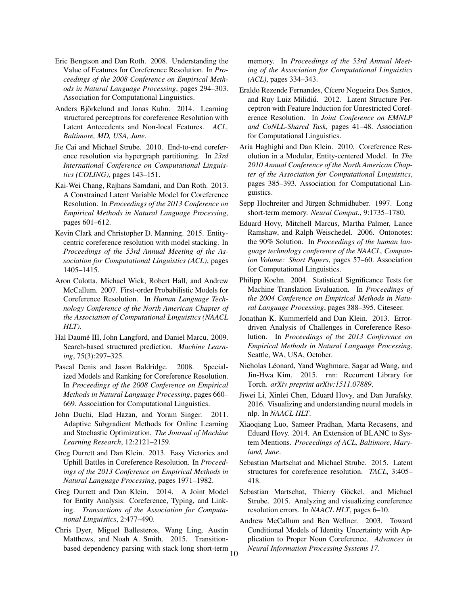- Eric Bengtson and Dan Roth. 2008. Understanding the Value of Features for Coreference Resolution. In *Proceedings of the 2008 Conference on Empirical Methods in Natural Language Processing*, pages 294–303. Association for Computational Linguistics.
- Anders Björkelund and Jonas Kuhn. 2014. Learning structured perceptrons for coreference Resolution with Latent Antecedents and Non-local Features. *ACL, Baltimore, MD, USA, June*.
- Jie Cai and Michael Strube. 2010. End-to-end coreference resolution via hypergraph partitioning. In *23rd International Conference on Computational Linguistics (COLING)*, pages 143–151.
- Kai-Wei Chang, Rajhans Samdani, and Dan Roth. 2013. A Constrained Latent Variable Model for Coreference Resolution. In *Proceedings of the 2013 Conference on Empirical Methods in Natural Language Processing*, pages 601–612.
- Kevin Clark and Christopher D. Manning. 2015. Entitycentric coreference resolution with model stacking. In *Proceedings of the 53rd Annual Meeting of the Association for Computational Linguistics (ACL)*, pages 1405–1415.
- Aron Culotta, Michael Wick, Robert Hall, and Andrew McCallum. 2007. First-order Probabilistic Models for Coreference Resolution. In *Human Language Technology Conference of the North American Chapter of the Association of Computational Linguistics (NAACL HLT)*.
- Hal Daumé III, John Langford, and Daniel Marcu. 2009. Search-based structured prediction. *Machine Learning*, 75(3):297–325.
- Pascal Denis and Jason Baldridge. 2008. Specialized Models and Ranking for Coreference Resolution. In *Proceedings of the 2008 Conference on Empirical Methods in Natural Language Processing*, pages 660– 669. Association for Computational Linguistics.
- John Duchi, Elad Hazan, and Yoram Singer. 2011. Adaptive Subgradient Methods for Online Learning and Stochastic Optimization. *The Journal of Machine Learning Research*, 12:2121–2159.
- Greg Durrett and Dan Klein. 2013. Easy Victories and Uphill Battles in Coreference Resolution. In *Proceedings of the 2013 Conference on Empirical Methods in Natural Language Processing*, pages 1971–1982.
- Greg Durrett and Dan Klein. 2014. A Joint Model for Entity Analysis: Coreference, Typing, and Linking. *Transactions of the Association for Computational Linguistics*, 2:477–490.
- Chris Dyer, Miguel Ballesteros, Wang Ling, Austin Matthews, and Noah A. Smith. 2015. Transitionbased dependency parsing with stack long short-term 10

memory. In *Proceedings of the 53rd Annual Meeting of the Association for Computational Linguistics (ACL)*, pages 334–343.

- Eraldo Rezende Fernandes, Cícero Nogueira Dos Santos, and Ruy Luiz Milidiú. 2012. Latent Structure Perceptron with Feature Induction for Unrestricted Coreference Resolution. In *Joint Conference on EMNLP and CoNLL-Shared Task*, pages 41–48. Association for Computational Linguistics.
- Aria Haghighi and Dan Klein. 2010. Coreference Resolution in a Modular, Entity-centered Model. In *The 2010 Annual Conference of the North American Chapter of the Association for Computational Linguistics*, pages 385–393. Association for Computational Linguistics.
- Sepp Hochreiter and Jürgen Schmidhuber. 1997. Long short-term memory. *Neural Comput.*, 9:1735–1780.
- Eduard Hovy, Mitchell Marcus, Martha Palmer, Lance Ramshaw, and Ralph Weischedel. 2006. Ontonotes: the 90% Solution. In *Proceedings of the human language technology conference of the NAACL, Companion Volume: Short Papers*, pages 57–60. Association for Computational Linguistics.
- Philipp Koehn. 2004. Statistical Significance Tests for Machine Translation Evaluation. In *Proceedings of the 2004 Conference on Empirical Methods in Natural Language Processing*, pages 388–395. Citeseer.
- Jonathan K. Kummerfeld and Dan Klein. 2013. Errordriven Analysis of Challenges in Coreference Resolution. In *Proceedings of the 2013 Conference on Empirical Methods in Natural Language Processing*, Seattle, WA, USA, October.
- Nicholas Léonard, Yand Waghmare, Sagar ad Wang, and Jin-Hwa Kim. 2015. rnn: Recurrent Library for Torch. *arXiv preprint arXiv:1511.07889*.
- Jiwei Li, Xinlei Chen, Eduard Hovy, and Dan Jurafsky. 2016. Visualizing and understanding neural models in nlp. In *NAACL HLT*.
- Xiaoqiang Luo, Sameer Pradhan, Marta Recasens, and Eduard Hovy. 2014. An Extension of BLANC to System Mentions. *Proceedings of ACL, Baltimore, Maryland, June*.
- Sebastian Martschat and Michael Strube. 2015. Latent structures for coreference resolution. *TACL*, 3:405– 418.
- Sebastian Martschat, Thierry Göckel, and Michael Strube. 2015. Analyzing and visualizing coreference resolution errors. In *NAACL HLT*, pages 6–10.
- Andrew McCallum and Ben Wellner. 2003. Toward Conditional Models of Identity Uncertainty with Application to Proper Noun Coreference. *Advances in Neural Information Processing Systems 17*.